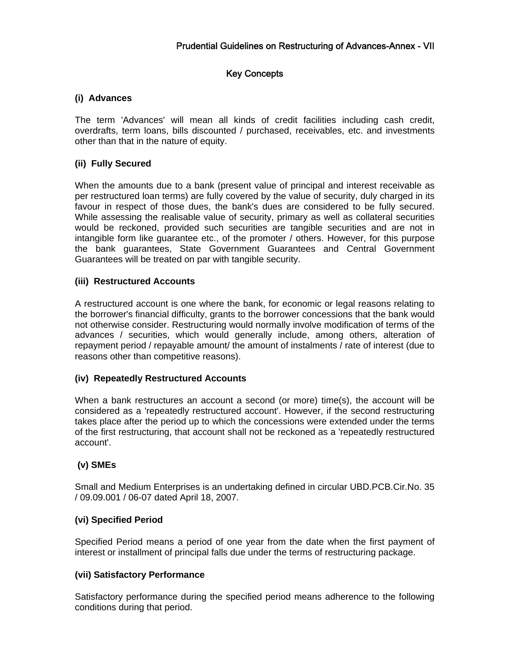# Key Concepts

## **(i) Advances**

The term 'Advances' will mean all kinds of credit facilities including cash credit, overdrafts, term loans, bills discounted / purchased, receivables, etc. and investments other than that in the nature of equity.

### **(ii) Fully Secured**

When the amounts due to a bank (present value of principal and interest receivable as per restructured loan terms) are fully covered by the value of security, duly charged in its favour in respect of those dues, the bank's dues are considered to be fully secured. While assessing the realisable value of security, primary as well as collateral securities would be reckoned, provided such securities are tangible securities and are not in intangible form like guarantee etc., of the promoter / others. However, for this purpose the bank guarantees, State Government Guarantees and Central Government Guarantees will be treated on par with tangible security.

### **(iii) Restructured Accounts**

A restructured account is one where the bank, for economic or legal reasons relating to the borrower's financial difficulty, grants to the borrower concessions that the bank would not otherwise consider. Restructuring would normally involve modification of terms of the advances / securities, which would generally include, among others, alteration of repayment period / repayable amount/ the amount of instalments / rate of interest (due to reasons other than competitive reasons).

### **(iv) Repeatedly Restructured Accounts**

When a bank restructures an account a second (or more) time(s), the account will be considered as a 'repeatedly restructured account'. However, if the second restructuring takes place after the period up to which the concessions were extended under the terms of the first restructuring, that account shall not be reckoned as a 'repeatedly restructured account'.

### **(v) SMEs**

Small and Medium Enterprises is an undertaking defined in circular UBD.PCB.Cir.No. 35 / 09.09.001 / 06-07 dated April 18, 2007.

### **(vi) Specified Period**

Specified Period means a period of one year from the date when the first payment of interest or installment of principal falls due under the terms of restructuring package.

### **(vii) Satisfactory Performance**

Satisfactory performance during the specified period means adherence to the following conditions during that period.